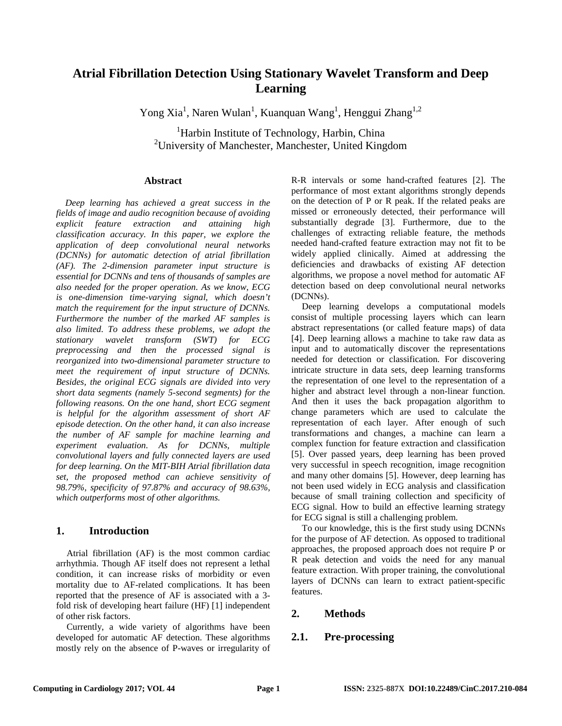# **Atrial Fibrillation Detection Using Stationary Wavelet Transform and Deep Learning**

Yong Xia<sup>1</sup>, Naren Wulan<sup>1</sup>, Kuanquan Wang<sup>1</sup>, Henggui Zhang<sup>1,2</sup>

<sup>1</sup>Harbin Institute of Technology, Harbin, China <sup>2</sup>University of Manchester, Manchester, United Kingdom

#### **Abstract**

 *Deep learning has achieved a great success in the fields of image and audio recognition because of avoiding explicit feature extraction and attaining high classification accuracy. In this paper, we explore the application of deep convolutional neural networks (DCNNs) for automatic detection of atrial fibrillation (AF). The 2-dimension parameter input structure is essential for DCNNs and tens of thousands of samples are also needed for the proper operation. As we know, ECG is one-dimension time-varying signal, which doesn't match the requirement for the input structure of DCNNs. Furthermore the number of the marked AF samples is also limited. To address these problems, we adopt the stationary wavelet transform (SWT) for ECG preprocessing and then the processed signal is reorganized into two-dimensional parameter structure to meet the requirement of input structure of DCNNs. Besides, the original ECG signals are divided into very short data segments (namely 5-second segments) for the following reasons. On the one hand, short ECG segment is helpful for the algorithm assessment of short AF episode detection. On the other hand, it can also increase the number of AF sample for machine learning and experiment evaluation. As for DCNNs, multiple convolutional layers and fully connected layers are used for deep learning. On the MIT-BIH Atrial fibrillation data set, the proposed method can achieve sensitivity of 98.79%, specificity of 97.87% and accuracy of 98.63%, which outperforms most of other algorithms.*

### **1. Introduction**

Atrial fibrillation (AF) is the most common cardiac arrhythmia. Though AF itself does not represent a lethal condition, it can increase risks of morbidity or even mortality due to AF-related complications. It has been reported that the presence of AF is associated with a 3 fold risk of developing heart failure (HF) [1] independent of other risk factors.

Currently, a wide variety of algorithms have been developed for automatic AF detection. These algorithms mostly rely on the absence of P-waves or irregularity of R-R intervals or some hand-crafted features [2]. The performance of most extant algorithms strongly depends on the detection of P or R peak. If the related peaks are missed or erroneously detected, their performance will substantially degrade [3]. Furthermore, due to the challenges of extracting reliable feature, the methods needed hand-crafted feature extraction may not fit to be widely applied clinically. Aimed at addressing the deficiencies and drawbacks of existing AF detection algorithms, we propose a novel method for automatic AF detection based on deep convolutional neural networks (DCNNs).

Deep learning develops a computational models consist of multiple processing layers which can learn abstract representations (or called feature maps) of data [4]. Deep learning allows a machine to take raw data as input and to automatically discover the representations needed for detection or classification. For discovering intricate structure in data sets, deep learning transforms the representation of one level to the representation of a higher and abstract level through a non-linear function. And then it uses the back propagation algorithm to change parameters which are used to calculate the representation of each layer. After enough of such transformations and changes, a machine can learn a complex function for feature extraction and classification [5]. Over passed years, deep learning has been proved very successful in speech recognition, image recognition and many other domains [5]. However, deep learning has not been used widely in ECG analysis and classification because of small training collection and specificity of ECG signal. How to build an effective learning strategy for ECG signal is still a challenging problem.

To our knowledge, this is the first study using DCNNs for the purpose of AF detection. As opposed to traditional approaches, the proposed approach does not require P or R peak detection and voids the need for any manual feature extraction. With proper training, the convolutional layers of DCNNs can learn to extract patient-specific features.

### **2. Methods**

### **2.1. Pre-processing**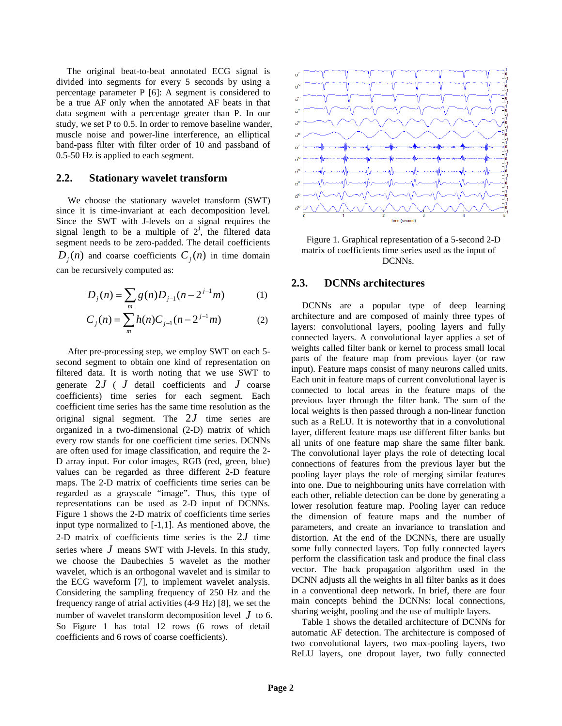The original beat-to-beat annotated ECG signal is divided into segments for every 5 seconds by using a percentage parameter P [6]: A segment is considered to be a true AF only when the annotated AF beats in that data segment with a percentage greater than P. In our study, we set P to 0.5. In order to remove baseline wander, muscle noise and power-line interference, an elliptical band-pass filter with filter order of 10 and passband of 0.5-50 Hz is applied to each segment.

### **2.2. Stationary wavelet transform**

 We choose the stationary wavelet transform (SWT) since it is time-invariant at each decomposition level. Since the SWT with J-levels on a signal requires the signal length to be a multiple of  $2^J$ , the filtered data segment needs to be zero-padded. The detail coefficients  $D_i(n)$  and coarse coefficients  $C_i(n)$  in time domain can be recursively computed as:

$$
D_j(n) = \sum_{m} g(n) D_{j-1}(n - 2^{j-1}m) \tag{1}
$$

$$
C_j(n) = \sum_m h(n)C_{j-1}(n-2^{j-1}m)
$$
 (2)

 After pre-processing step, we employ SWT on each 5 second segment to obtain one kind of representation on filtered data. It is worth noting that we use SWT to generate 2*J* ( *J* detail coefficients and *J* coarse coefficients) time series for each segment. Each coefficient time series has the same time resolution as the original signal segment. The 2*J* time series are organized in a two-dimensional (2-D) matrix of which every row stands for one coefficient time series. DCNNs are often used for image classification, and require the 2- D array input. For color images, RGB (red, green, blue) values can be regarded as three different 2-D feature maps. The 2-D matrix of coefficients time series can be regarded as a grayscale "image". Thus, this type of representations can be used as 2-D input of DCNNs. Figure 1 shows the 2-D matrix of coefficients time series input type normalized to [-1,1]. As mentioned above, the 2-D matrix of coefficients time series is the 2*J* time series where *J* means SWT with J-levels. In this study, we choose the Daubechies 5 wavelet as the mother wavelet, which is an orthogonal wavelet and is similar to the ECG waveform [\[7\],](#page-2-0) to implement wavelet analysis. Considering the sampling frequency of 250 Hz and the frequency range of atrial activities (4-9 Hz[\) \[8\],](#page-3-0) we set the number of wavelet transform decomposition level  $J$  to 6. So Figure 1 has total 12 rows (6 rows of detail coefficients and 6 rows of coarse coefficients).



Figure 1. Graphical representation of a 5-second 2-D matrix of coefficients time series used as the input of DCNNs.

#### **2.3. DCNNs architectures**

DCNNs are a popular type of deep learning architecture and are composed of mainly three types of layers: convolutional layers, pooling layers and fully connected layers. A convolutional layer applies a set of weights called filter bank or kernel to process small local parts of the feature map from previous layer (or raw input). Feature maps consist of many neurons called units. Each unit in feature maps of current convolutional layer is connected to local areas in the feature maps of the previous layer through the filter bank. The sum of the local weights is then passed through a non-linear function such as a ReLU. It is noteworthy that in a convolutional layer, different feature maps use different filter banks but all units of one feature map share the same filter bank. The convolutional layer plays the role of detecting local connections of features from the previous layer but the pooling layer plays the role of merging similar features into one. Due to neighbouring units have correlation with each other, reliable detection can be done by generating a lower resolution feature map. Pooling layer can reduce the dimension of feature maps and the number of parameters, and create an invariance to translation and distortion. At the end of the DCNNs, there are usually some fully connected layers. Top fully connected layers perform the classification task and produce the final class vector. The back propagation algorithm used in the DCNN adjusts all the weights in all filter banks as it does in a conventional deep network. In brief, there are four main concepts behind the DCNNs: local connections, sharing weight, pooling and the use of multiple layers.

Table 1 shows the detailed architecture of DCNNs for automatic AF detection. The architecture is composed of two convolutional layers, two max-pooling layers, two ReLU layers, one dropout layer, two fully connected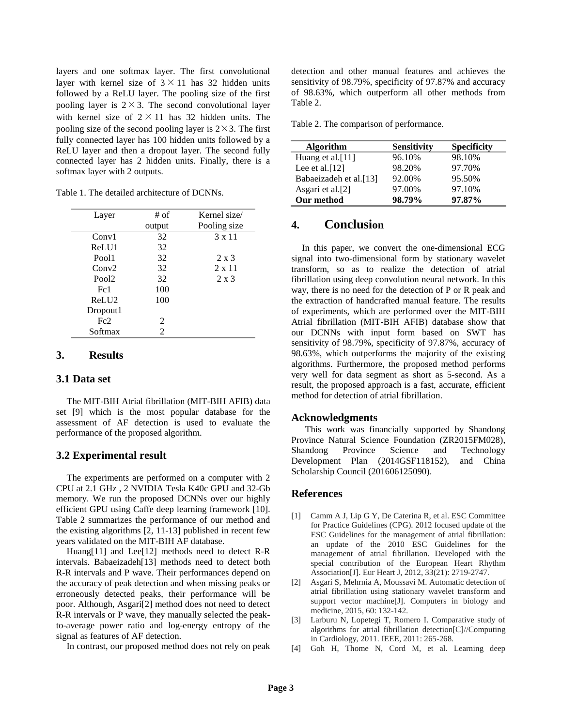layers and one softmax layer. The first convolutional layer with kernel size of  $3 \times 11$  has 32 hidden units followed by a ReLU layer. The pooling size of the first pooling layer is  $2 \times 3$ . The second convolutional layer with kernel size of  $2 \times 11$  has 32 hidden units. The pooling size of the second pooling layer is  $2 \times 3$ . The first fully connected layer has 100 hidden units followed by a ReLU layer and then a dropout layer. The second fully connected layer has 2 hidden units. Finally, there is a softmax layer with 2 outputs.

Table 1. The detailed architecture of DCNNs.

| Layer             | # of   | Kernel size/  |
|-------------------|--------|---------------|
|                   | output | Pooling size  |
| Conv1             | 32     | 3 x 11        |
| ReLU <sub>1</sub> | 32     |               |
| Pool1             | 32     | $2 \times 3$  |
| Conv2             | 32     | $2 \times 11$ |
| Pool <sub>2</sub> | 32     | $2 \times 3$  |
| Fc1               | 100    |               |
| ReLU <sub>2</sub> | 100    |               |
| Dropout1          |        |               |
| Fc2               | 2      |               |
| Softmax           | 2      |               |

### **3. Results**

#### **3.1 Data set**

The MIT-BIH Atrial fibrillation (MIT-BIH AFIB) data set [\[9\]](#page-3-1) which is the most popular database for the assessment of AF detection is used to evaluate the performance of the proposed algorithm.

#### **3.2 Experimental result**

The experiments are performed on a computer with 2 CPU at 2.1 GHz , 2 NVIDIA Tesla K40c GPU and 32-Gb memory. We run the proposed DCNNs over our highly efficient GPU using Caffe deep learning framework [10]. Table 2 summarizes the performance of our method and the existing algorithms [2, 11-13] published in recent few years validated on the MIT-BIH AF database.

Huan[g\[11\]](#page-3-2) and Le[e\[12\]](#page-3-3) methods need to detect R-R intervals. Babaeizade[h\[13\]](#page-3-4) methods need to detect both R-R intervals and P wave. Their performances depend on the accuracy of peak detection and when missing peaks or erroneously detected peaks, their performance will be poor. Although, Asgar[i\[2\]](#page-2-1) method does not need to detect R-R intervals or P wave, they manually selected the peakto-average power ratio and log-energy entropy of the signal as features of AF detection.

In contrast, our proposed method does not rely on peak

detection and other manual features and achieves the sensitivity of 98.79%, specificity of 97.87% and accuracy of 98.63%, which outperform all other methods from Table 2.

Table 2. The comparison of performance.

| <b>Algorithm</b>       | <b>Sensitivity</b> | <b>Specificity</b> |
|------------------------|--------------------|--------------------|
| Huang et al. $[11]$    | 96.10%             | 98.10%             |
| Lee et al. $[12]$      | 98.20%             | 97.70%             |
| Babaeizadeh et al.[13] | 92.00%             | 95.50%             |
| Asgari et al.[2]       | 97.00%             | 97.10%             |
| Our method             | 98.79%             | 97.87%             |

## **4. Conclusion**

In this paper, we convert the one-dimensional ECG signal into two-dimensional form by stationary wavelet transform, so as to realize the detection of atrial fibrillation using deep convolution neural network. In this way, there is no need for the detection of P or R peak and the extraction of handcrafted manual feature. The results of experiments, which are performed over the MIT-BIH Atrial fibrillation (MIT-BIH AFIB) database show that our DCNNs with input form based on SWT has sensitivity of 98.79%, specificity of 97.87%, accuracy of 98.63%, which outperforms the majority of the existing algorithms. Furthermore, the proposed method performs very well for data segment as short as 5-second. As a result, the proposed approach is a fast, accurate, efficient method for detection of atrial fibrillation.

#### **Acknowledgments**

This work was financially supported by Shandong Province Natural Science Foundation (ZR2015FM028), Shandong Province Science and Technology Development Plan (2014GSF118152), and China Scholarship Council (201606125090).

### **References**

- <span id="page-2-1"></span>[1] Camm A J, Lip G Y, De Caterina R, et al. ESC Committee for Practice Guidelines (CPG). 2012 focused update of the ESC Guidelines for the management of atrial fibrillation: an update of the 2010 ESC Guidelines for the management of atrial fibrillation. Developed with the special contribution of the European Heart Rhythm Association[J]. Eur Heart J, 2012, 33(21): 2719-2747.
- <span id="page-2-0"></span>[2] Asgari S, Mehrnia A, Moussavi M. Automatic detection of atrial fibrillation using stationary wavelet transform and support vector machine[J]. Computers in biology and medicine, 2015, 60: 132-142.
- [3] Larburu N, Lopetegi T, Romero I. Comparative study of algorithms for atrial fibrillation detection[C]//Computing in Cardiology, 2011. IEEE, 2011: 265-268.
- [4] Goh H, Thome N, Cord M, et al. Learning deep